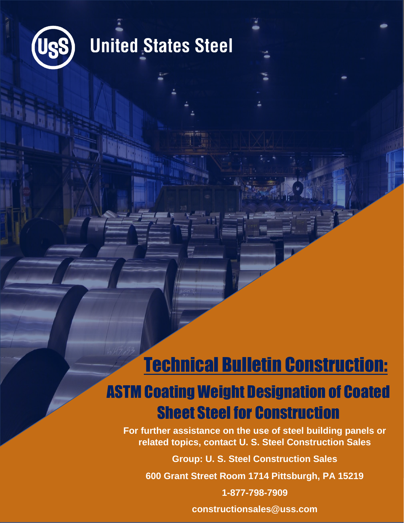

### **United States Steel**

### Technical Bulletin Construction:

### ASTM Coating Weight Designation of Coated Sheet Steel for Construction

**For further assistance on the use of steel building panels or related topics, contact U. S. Steel Construction Sales**

**Group: U. S. Steel Construction Sales**

**600 Grant Street Room 1714 Pittsburgh, PA 15219**

**1-877-798-7909**

**constructionsales@uss.com**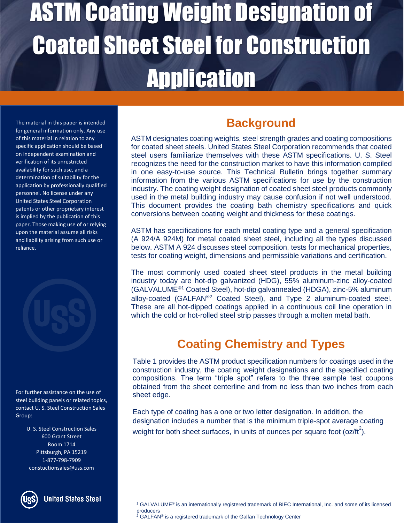The material in this paper is intended for general information only. Any use of this material in relation to any specific application should be based on independent examination and verification of its unrestricted availability for such use, and a determination of suitability for the application by professionally qualified personnel. No license under any United States Steel Corporation patents or other proprietary interest is implied by the publication of this paper. Those making use of or relying upon the material assume all risks and liability arising from such use or reliance.



For further assistance on the use of steel building panels or related topics, contact U. S. Steel Construction Sales Group:

> U. S. Steel Construction Sales 600 Grant Street Room 1714 Pittsburgh, PA 15219 1-877-798-7909 constuctionsales@uss.com



**United States Steel** 

### **Background**

ASTM designates coating weights, steel strength grades and coating compositions for coated sheet steels. United States Steel Corporation recommends that coated steel users familiarize themselves with these ASTM specifications. U. S. Steel recognizes the need for the construction market to have this information compiled in one easy-to-use source. This Technical Bulletin brings together summary information from the various ASTM specifications for use by the construction industry. The coating weight designation of coated sheet steel products commonly used in the metal building industry may cause confusion if not well understood. This document provides the coating bath chemistry specifications and quick conversions between coating weight and thickness for these coatings.

ASTM has specifications for each metal coating type and a general specification (A 924/A 924M) for metal coated sheet steel, including all the types discussed below. ASTM A 924 discusses steel composition, tests for mechanical properties, tests for coating weight, dimensions and permissible variations and certification.

The most commonly used coated sheet steel products in the metal building industry today are hot-dip galvanized (HDG), 55% aluminum-zinc alloy-coated (GALVALUME<sup>®1</sup> Coated Steel), hot-dip galvannealed (HDGA), zinc-5% aluminum alloy-coated (GALFAN<sup>®2</sup> Coated Steel), and Type 2 aluminum-coated steel. These are all hot-dipped coatings applied in a continuous coil line operation in which the cold or hot-rolled steel strip passes through a molten metal bath.

#### **Coating Chemistry and Types**

Table 1 provides the ASTM product specification numbers for coatings used in the construction industry, the coating weight designations and the specified coating compositions. The term "triple spot" refers to the three sample test coupons obtained from the sheet centerline and from no less than two inches from each sheet edge.

Each type of coating has a one or two letter designation. In addition, the designation includes a number that is the minimum triple-spot average coating weight for both sheet surfaces, in units of ounces per square foot (oz/ft<sup>2</sup>).

<sup>&</sup>lt;sup>1</sup> GALVALUME<sup>®</sup> is an internationally registered trademark of BIEC International, Inc. and some of its licensed producers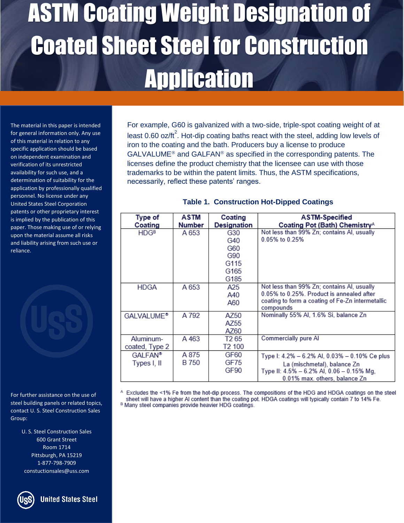The material in this paper is intended for general information only. Any use of this material in relation to any specific application should be based on independent examination and verification of its unrestricted availability for such use, and a determination of suitability for the application by professionally qualified personnel. No license under any United States Steel Corporation patents or other proprietary interest is implied by the publication of this paper. Those making use of or relying upon the material assume all risks and liability arising from such use or reliance.

For further assistance on the use of steel building panels or related topics, contact U. S. Steel Construction Sales Group:

> U. S. Steel Construction Sales 600 Grant Street Room 1714 Pittsburgh, PA 15219 1-877-798-7909 constuctionsales@uss.com

For example, G60 is galvanized with a two-side, triple-spot coating weight of at least 0.60 oz/ft<sup>2</sup>. Hot-dip coating baths react with the steel, adding low levels of iron to the coating and the bath. Producers buy a license to produce  $GALVALUME<sup>®</sup>$  and  $GALFAN<sup>®</sup>$  as specified in the corresponding patents. The licenses define the product chemistry that the licensee can use with those trademarks to be within the patent limits. Thus, the ASTM specifications, necessarily, reflect these patents' ranges.

| Type of                | <b>ASTM</b> | Coating            | <b>ASTM-Specified</b>                                         |  |
|------------------------|-------------|--------------------|---------------------------------------------------------------|--|
| Coating                | Number      | <b>Designation</b> | Coating Pot (Bath) Chemistry <sup>A</sup>                     |  |
| <b>HDGB</b>            | A 653       | G30                | Not less than 99% Zn; contains Al, usually                    |  |
|                        |             | G40                | 0.05% to 0.25%                                                |  |
|                        |             | G60                |                                                               |  |
|                        |             | G90                |                                                               |  |
|                        |             | G115               |                                                               |  |
|                        |             | G165               |                                                               |  |
|                        |             | G185               |                                                               |  |
| HDGA                   | A 653       | A25.               | Not less than 99% Zn; contains AI, usually                    |  |
|                        |             | A40                | 0.05% to 0.25%. Product is annealed after                     |  |
|                        |             | A60                | coating to form a coating of Fe-Zn intermetallic<br>compounds |  |
| GALVALUME <sup>®</sup> | A 792       | AZ50               | Nominally 55% Al, 1.6% Si, balance Zn                         |  |
|                        |             | AZ55               |                                                               |  |
|                        |             | AZ60               |                                                               |  |
| Aluminum-              | A 463       | T <sub>2</sub> 65  | Commercially pure Al                                          |  |
| coated, Type 2         |             | T2 100             |                                                               |  |
| <b>GALFAN®</b>         | A 875       | GF60               | Type I: 4.2% - 6.2% AI, 0.03% - 0.10% Ce plus                 |  |
| Types I, II            | B 750       | GF75               | La (mischmetal), balance Zn                                   |  |
|                        |             | GF90               | Type II: 4.5% - 6.2% AI, 0.06 - 0.15% Mg,                     |  |
|                        |             |                    | 0.01% max. others, balance Zn                                 |  |

A Excludes the <1% Fe from the hot-dip process. The compositions of the HDG and HDGA coatings on the steel sheet will have a higher AI content than the coating pot. HDGA coatings will typically contain 7 to 14% Fe.

<sup>B</sup> Many steel companies provide heavier HDG coatings.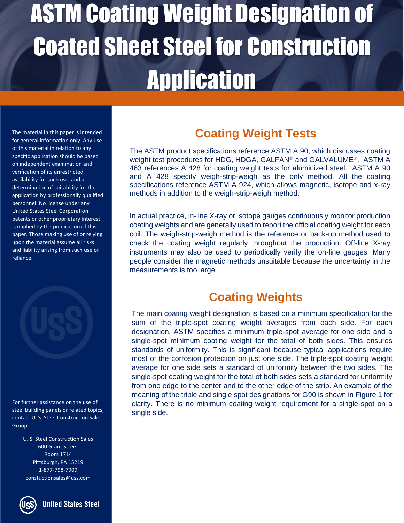The material in this paper is intended for general information only. Any use of this material in relation to any specific application should be based on independent examination and verification of its unrestricted availability for such use, and a determination of suitability for the application by professionally qualified personnel. No license under any United States Steel Corporation patents or other proprietary interest is implied by the publication of this paper. Those making use of or relying upon the material assume all risks and liability arising from such use or reliance.



For further assistance on the use of steel building panels or related topics, contact U. S. Steel Construction Sales Group:

> U. S. Steel Construction Sales 600 Grant Street Room 1714 Pittsburgh, PA 15219 1-877-798-7909 constuctionsales@uss.com



**United States Steel** 

#### **Coating Weight Tests**

The ASTM product specifications reference ASTM A 90, which discusses coating weight test procedures for HDG, HDGA, GALFAN® and GALVALUME®. ASTM A 463 references A 428 for coating weight tests for aluminized steel. ASTM A 90 and A 428 specify weigh-strip-weigh as the only method. All the coating specifications reference ASTM A 924, which allows magnetic, isotope and x-ray methods in addition to the weigh-strip-weigh method.

In actual practice, in-line X-ray or isotope gauges continuously monitor production coating weights and are generally used to report the official coating weight for each coil. The weigh-strip-weigh method is the reference or back-up method used to check the coating weight regularly throughout the production. Off-line X-ray instruments may also be used to periodically verify the on-line gauges. Many people consider the magnetic methods unsuitable because the uncertainty in the measurements is too large.

#### **Coating Weights**

The main coating weight designation is based on a minimum specification for the sum of the triple-spot coating weight averages from each side. For each designation, ASTM specifies a minimum triple-spot average for one side and a single-spot minimum coating weight for the total of both sides. This ensures standards of uniformity. This is significant because typical applications require most of the corrosion protection on just one side. The triple-spot coating weight average for one side sets a standard of uniformity between the two sides. The single-spot coating weight for the total of both sides sets a standard for uniformity from one edge to the center and to the other edge of the strip. An example of the meaning of the triple and single spot designations for G90 is shown in Figure 1 for clarity. There is no minimum coating weight requirement for a single-spot on a single side.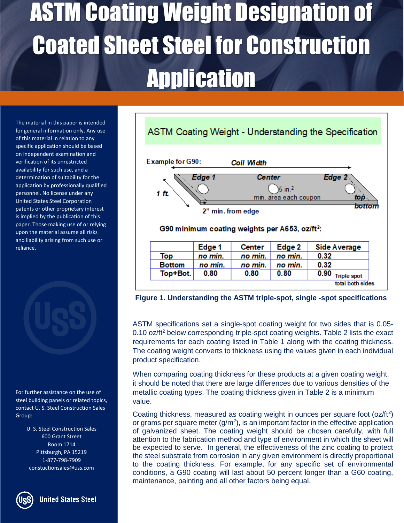The material in this paper is intended for general information only. Any use of this material in relation to any specific application should be based on independent examination and verification of its unrestricted availability for such use, and a determination of suitability for the application by professionally qualified personnel. No license under any United States Steel Corporation patents or other proprietary interest is implied by the publication of this paper. Those making use of or relying upon the material assume all risks and liability arising from such use or reliance.



For further assistance on the use of steel building panels or related topics, contact U. S. Steel Construction Sales Group:

> U. S. Steel Construction Sales 600 Grant Street Room 1714 Pittsburgh, PA 15219 1-877-798-7909 constuctionsales@uss.com



**United States Steel** 



**Figure 1. Understanding the ASTM triple-spot, single -spot specifications**

ASTM specifications set a single-spot coating weight for two sides that is 0.05- 0.10 oz/ $ft^2$  below corresponding triple-spot coating weights. Table 2 lists the exact requirements for each coating listed in Table 1 along with the coating thickness. The coating weight converts to thickness using the values given in each individual product specification.

When comparing coating thickness for these products at a given coating weight, it should be noted that there are large differences due to various densities of the metallic coating types. The coating thickness given in Table 2 is a minimum value.

Coating thickness, measured as coating weight in ounces per square foot  $(oz/ft<sup>2</sup>)$ or grams per square meter  $(g/m^2)$ , is an important factor in the effective application of galvanized sheet. The coating weight should be chosen carefully, with full attention to the fabrication method and type of environment in which the sheet will be expected to serve. In general, the effectiveness of the zinc coating to protect the steel substrate from corrosion in any given environment is directly proportional to the coating thickness. For example, for any specific set of environmental conditions, a G90 coating will last about 50 percent longer than a G60 coating, maintenance, painting and all other factors being equal.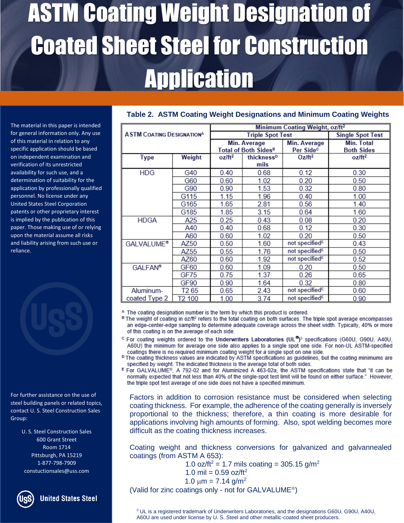The material in this paper is intended for general information only. Any use of this material in relation to any specific application should be based on independent examination and verification of its unrestricted availability for such use, and a determination of suitability for the application by professionally qualified personnel. No license under any United States Steel Corporation patents or other proprietary interest is implied by the publication of this paper. Those making use of or relying upon the material assume all risks and liability arising from such use or reliance.



For further assistance on the use of steel building panels or related topics, contact U. S. Steel Construction Sales Group:

> U. S. Steel Construction Sales 600 Grant Street Room 1714 Pittsburgh, PA 15219 1-877-798-7909 constuctionsales@uss.com



**United States Steel** 

| <b>ASTM COATING DESIGNATIONA</b> |                  | Minimum Coating Weight, oz/ft <sup>2</sup> |                        |                            |                         |  |
|----------------------------------|------------------|--------------------------------------------|------------------------|----------------------------|-------------------------|--|
|                                  |                  | <b>Triple Spot Test</b>                    |                        |                            | <b>Single Spot Test</b> |  |
|                                  |                  | Min. Average                               |                        | Min. Average               | Min. Total              |  |
|                                  |                  | Total of Both Sides <sup>B</sup>           |                        | Per Side <sup>c</sup>      | <b>Both Sides</b>       |  |
| <b>Type</b>                      | Weight           | oz/ft <sup>2</sup>                         | thickness <sup>D</sup> | $Oz/ft^2$                  | oz/ft <sup>2</sup>      |  |
|                                  |                  |                                            | mils                   |                            |                         |  |
| <b>HDG</b>                       | G40              | 0.40                                       | 0.68                   | 0.12                       | 0.30                    |  |
|                                  | G60              | 0.60                                       | 1.02                   | 0.20                       | 0.50                    |  |
|                                  | G90              | 0.90                                       | 1.53                   | 0.32                       | 0.80                    |  |
|                                  | G115             | 1.15                                       | 1.96                   | 0.40                       | 1.00                    |  |
|                                  | G165             | 1.65                                       | 2.81                   | 0.56                       | 1.40                    |  |
|                                  | G185             | 1.85                                       | 3.15                   | 0.64                       | 1.60                    |  |
| <b>HDGA</b>                      | A25              | 0.25                                       | 0.43                   | 0.08                       | 0.20                    |  |
|                                  | A40              | 0.40                                       | 0.68                   | 0.12                       | 0.30                    |  |
|                                  | A60              | 0.60                                       | 1.02                   | 0.20                       | 0.50                    |  |
| <b>GALVALUME®</b>                | AZ50             | 0.50                                       | 1.60                   | not specified <sup>E</sup> | 0.43                    |  |
|                                  | AZ55             | 0.55                                       | 1.76                   | not specified <sup>E</sup> | 0.50                    |  |
|                                  | AZ60             | 0.60                                       | 1.92                   | not specified <sup>E</sup> | 0.52                    |  |
| <b>GALFAN®</b>                   | GF60             | 0.60                                       | 1.09                   | 0.20                       | 0.50                    |  |
|                                  | GF75             | 0.75                                       | 1.37                   | 0.26                       | 0.65                    |  |
|                                  | GF90             | 0.90                                       | 1.64                   | 0.32                       | 0.80                    |  |
| Aluminum-                        | T <sub>265</sub> | 0.65                                       | 2.43                   | not specified <sup>E</sup> | 0.60                    |  |
| coated Type 2                    | T2 100           | 1.00                                       | 3.74                   | not specified <sup>E</sup> | 0.90                    |  |

#### **Table 2. ASTM Coating Weight Designations and Minimum Coating Weights**

<sup>A</sup> The coating designation number is the term by which this product is ordered.

<sup>B</sup> The weight of coating in oz/ft<sup>2</sup> refers to the total coating on both surfaces. The triple spot average encompasses an edge-center-edge sampling to determine adequate coverage across the sheet width. Typically, 40% or more of this coating is on the average of each side.

- <sup>C</sup> For coating weights ordered to the Underwriters Laboratories (UL<sup>®</sup>)<sup>3</sup> specifications (G60U, G90U, A40U, A60U) the minimum for average one side also applies to a single spot one side. For non-UL ASTM-specified coatings there is no required minimum coating weight for a single spot on one side.
- <sup>D</sup> The coating thickness values are indicated by ASTM specifications as guidelines, but the coating minimums are specified by weight. The indicated thickness is the average total of both sides.
- E For GALVALUME<sup>®</sup>, A 792-02 and for Aluminized A 463-02a, the ASTM specifications state that "it can be normally expected that not less than 40% of the single-spot test limit will be found on either surface." However, the triple spot test average of one side does not have a specified minimum.

Factors in addition to corrosion resistance must be considered when selecting coating thickness. For example, the adherence of the coating generally is inversely proportional to the thickness; therefore, a thin coating is more desirable for applications involving high amounts of forming. Also, spot welding becomes more difficult as the coating thickness increases.

Coating weight and thickness conversions for galvanized and galvannealed coatings (from ASTM A 653):

1.0 oz/ft<sup>2</sup> = 1.7 mils coating = 305.15 g/m<sup>2</sup>

$$
1.0 \text{ mil} = 0.59 \text{ oz/ft}^2
$$

 $1.0 \mu m = 7.14 \text{ g/m}^2$ 

(Valid for zinc coatings only - not for GALVALUME<sup>®</sup>)

<sup>3</sup> UL is a registered trademark of Underwriters Laboratories, and the designations G60U, G90U, A40U, A60U are used under license by U. S. Steel and other metallic-coated sheet producers.